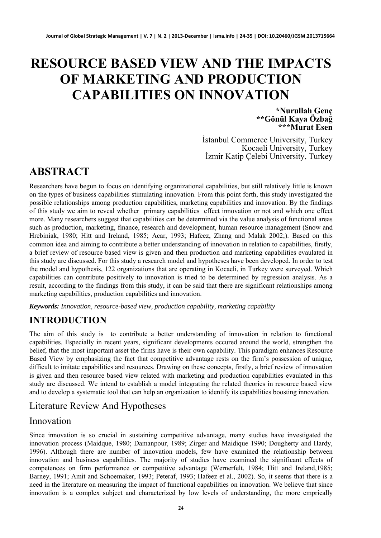# **RESOURCE BASED VIEW AND THE IMPACTS OF MARKETING AND PRODUCTION CAPABILITIES ON INNOVATION**

**\*Nurullah Genç \*\*Gönül Kaya Özbağ \*\*\*Murat Esen**

İstanbul Commerce University, Turkey İzmir Katip Çelebi University, Turkey

# **ABSTRACT**

Researchers have begun to focus on identifying organizational capabilities, but still relatively little is known on the types of business capabilities stimulating innovation. From this point forth, this study investigated the possible relationships among production capabilities, marketing capabilities and innovation. By the findings of this study we aim to reveal whether primary capabilities effect innovation or not and which one effect more. Many researchers suggest that capabilities can be determined via the value analysis of functional areas such as production, marketing, finance, research and development, human resource management (Snow and Hrebiniak, 1980; Hitt and Ireland, 1985; Acar, 1993; Hafeez, Zhang and Malak 2002;). Based on this common idea and aiming to contribute a better understanding of innovation in relation to capabilities, firstly, a brief review of resource based view is given and then production and marketing capabilities evaulated in this study are discussed. For this study a research model and hypotheses have been developed. In order to test the model and hypothesis, 122 organizations that are operating in Kocaeli, in Turkey were surveyed. Which capabilities can contribute positively to innovation is tried to be determined by regression analysis. As a result, according to the findings from this study, it can be said that there are significant relationships among marketing capabilities, production capabilities and innovation.

*Keywords: Innovation, resource-based view, production capability, marketing capability* 

### **INTRODUCTION**

The aim of this study is to contribute a better understanding of innovation in relation to functional capabilities. Especially in recent years, significant developments occured around the world, strengthen the belief, that the most important asset the firms have is their own capability. This paradigm enhances Resource Based View by emphasizing the fact that competitive advantage rests on the firm's possession of unique, difficult to imitate capabilities and resources. Drawing on these concepts, firstly, a brief review of innovation is given and then resource based view related with marketing and production capabilities evaulated in this study are discussed. We intend to establish a model integrating the related theories in resource based view and to develop a systematic tool that can help an organization to identify its capabilities boosting innovation.

### Literature Review And Hypotheses

#### Innovation

Since innovation is so crucial in sustaining competitive advantage, many studies have investigated the innovation process (Maidque, 1980; Damanpour, 1989; Zirger and Maidique 1990; Dougherty and Hardy, 1996). Although there are number of innovation models, few have examined the relationship between innovation and business capabilities. The majority of studies have examined the significant effects of competences on firm performance or competitive advantage (Wernerfelt, 1984; Hitt and Ireland,1985; Barney, 1991; Amit and Schoemaker, 1993; Peteraf, 1993; Hafeez et al., 2002). So, it seems that there is a need in the literature on measuring the impact of functional capabilities on innovation. We believe that since innovation is a complex subject and characterized by low levels of understanding, the more emprically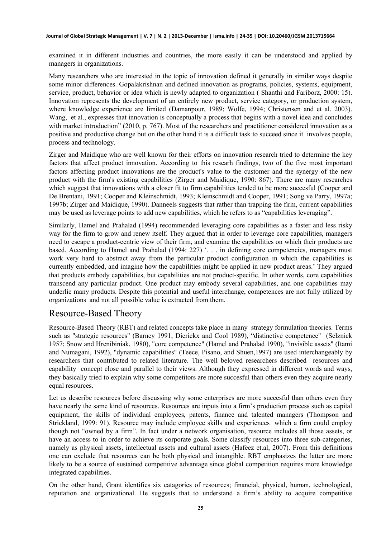examined it in different industries and countries, the more easily it can be understood and applied by managers in organizations.

Many researchers who are interested in the topic of innovation defined it generally in similar ways despite some minor differences. Gopalakrishnan and defined innovation as programs, policies, systems, equipment, service, product, behavior or idea which is newly adapted to organization ( Shanthi and Fariborz, 2000: 15). Innovation represents the development of an entirely new product, service category, or production system, where knowledge experience are limited (Damanpour, 1989; Wolfe, 1994; Christensen and et al. 2003). Wang, et al., expresses that innovation is conceptually a process that begins with a novel idea and concludes with market introduction" (2010, p. 767). Most of the researchers and practitioner considered innovation as a positive and productive change but on the other hand it is a difficult task to succeed since it involves people, process and technology.

Zirger and Maidique who are well known for their efforts on innovation research tried to determine the key factors that affect product innovation. According to this researh findings, two of the five most important factors affecting product innovations are the product's value to the customer and the synergy of the new product with the firm's existing capabilities (Zirger and Maidique, 1990: 867). There are many researches which suggest that innovations with a closer fit to firm capabilities tended to be more succesful (Cooper and De Brentani, 1991; Cooper and Kleinschmidt, 1993; Kleinschmidt and Cooper, 1991; Song ve Parry, 1997a; 1997b; Zirger and Maidique, 1990). Danneels suggests that rather than trapping the firm, current capabilities may be used as leverage points to add new capabilities, which he refers to as "capabilities leveraging".

Similarly, Hamel and Prahalad (1994) recommended leveraging core capabilities as a faster and less risky way for the firm to grow and renew itself. They argued that in order to leverage core capabilities, managers need to escape a product-centric view of their firm, and examine the capabilities on which their products are based. According to Hamel and Prahalad (1994: 227) '. . . in defining core competencies, managers must work very hard to abstract away from the particular product configuration in which the capabilities is currently embedded, and imagine how the capabilities might be applied in new product areas.' They argued that products embody capabilities, but capabilities are not product-specific. In other words, core capabilities transcend any particular product. One product may embody several capabilities, and one capabilities may underlie many products. Despite this potential and useful interchange, competences are not fully utilized by organizations and not all possible value is extracted from them.

#### Resource-Based Theory

Resource-Based Theory (RBT) and related concepts take place in many strategy formulation theories. Terms such as "strategic resources" (Barney 1991, Dierickx and Cool 1989), "distinctive competence" (Selznick 1957; Snow and Hrenibiniak, 1980), "core competence" (Hamel and Prahalad 1990), "invisible assets" (Itami and Numagani, 1992), "dynamic capabilities" (Teece, Pisano, and Shuen,1997) are used interchangeably by researchers that contributed to related literature. The well beloved researchers described resources and capability concept close and parallel to their views. Although they expressed in different words and ways, they basically tried to explain why some competitors are more succesful than others even they acquire nearly equal resources.

Let us describe resources before discussing why some enterprises are more succesful than others even they have nearly the same kind of resources. Resources are inputs into a firm's production process such as capital equipment, the skills of individual employees, patents, finance and talented managers (Thompson and Strickland, 1999: 91). Resource may include employee skills and experiences which a firm could employ though not "owned by a firm". In fact under a network organisation, resource includes all those assets, or have an access to in order to achieve its corporate goals. Some classify resources into three sub-categories, namely as physical assets, intellectual assets and cultural assets (Hafeez et.al, 2007). From this definitions one can exclude that resources can be both physical and intangible. RBT emphasizes the latter are more likely to be a source of sustained competitive advantage since global competition requires more knowledge integrated capabilities.

On the other hand, Grant identifies six catagories of resources; financial, physical, human, technological, reputation and organizational. He suggests that to understand a firm's ability to acquire competitive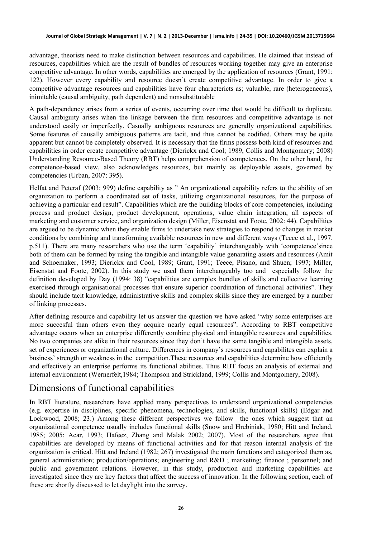advantage, theorists need to make distinction between resources and capabilities. He claimed that instead of resources, capabilities which are the result of bundles of resources working together may give an enterprise competitive advantage. In other words, capabilities are emerged by the application of resources (Grant, 1991: 122). However every capability and resource doesn't create competitive advantage. In order to give a competitive advantage resources and capabilities have four charactericts as; valuable, rare (heterogeneous), inimitable (causal ambiguity, path dependent) and nonsubstitutable

A path-dependency arises from a series of events, occurring over time that would be difficult to duplicate. Causal ambiguity arises when the linkage between the firm resources and competitive advantage is not understood easily or imperfectly. Casually ambiguous resources are generally organizational capabilities. Some features of causally ambiguous patterns are tacit, and thus cannot be codified. Others may be quite apparent but cannot be completely observed. It is necessary that the firms possess both kind of resources and capabilities in order create competitive advantage (Dierickx and Cool; 1989, Collis and Montgomery; 2008) Understanding Resource-Based Theory (RBT) helps comprehension of competences. On the other hand, the competence-based view, also acknowledges resources, but mainly as deployable assets, governed by competencies (Urban, 2007: 395).

Helfat and Peteraf (2003; 999) define capability as " An organizational capability refers to the ability of an organization to perform a coordinated set of tasks, utilizing organizational resources, for the purpose of achieving a particular end result". Capabilities which are the building blocks of core competencies, including process and product design, product development, operations, value chain integration, all aspects of marketing and customer service, and organization design (Miller, Eisenstat and Foote, 2002: 44). Capabilities are argued to be dynamic when they enable firms to undertake new strategies to respond to changes in market conditions by combining and transforming available resources in new and different ways (Teece et al., 1997, p.511). There are many researchers who use the term 'capability' interchangeably with 'competence'since both of them can be formed by using the tangible and intangible value genarating assets and resources (Amit and Schoemaker, 1993; Dierickx and Cool, 1989; Grant, 1991; Teece, Pisano, and Shuen; 1997; Miller, Eisenstat and Foote, 2002). In this study we used them interchangeably too and especially follow the definition developed by Day (1994: 38) "capabilities are complex bundles of skills and collective learning exercised through organisational processes that ensure superior coordination of functional activities". They should include tacit knowledge, administrative skills and complex skills since they are emerged by a number of linking processes.

After defining resource and capability let us answer the question we have asked "why some enterprises are more succesful than others even they acquire nearly equal resources". According to RBT competitive advantage occurs when an enterprise differently combine physical and intangible resources and capabilities. No two companies are alike in their resources since they don't have the same tangible and intangible assets, set of experiences or organizational culture. Differences in company's resources and capabilites can explain a business' strength or weakness in the competition.These resources and capabilities determine how efficiently and effectively an enterprise performs its functional abilities. Thus RBT focus an analysis of external and internal environment (Wernerfelt,1984; Thompson and Strickland, 1999; Collis and Montgomery, 2008).

### Dimensions of functional capabilities

In RBT literature, researchers have applied many perspectives to understand organizational competencies (e.g. expertise in disciplines, specific phenomena, technologies, and skills, functional skills) (Edgar and Lockwood, 2008; 23.) Among these different perspectives we follow the ones which suggest that an organizational competence usually includes functional skills (Snow and Hrebiniak, 1980; Hitt and Ireland, 1985; 2005; Acar, 1993; Hafeez, Zhang and Malak 2002; 2007). Most of the researchers agree that capabilities are developed by means of functional activities and for that reason internal analysis of the organization is critical. Hitt and Ireland (1982; 267) investigated the main functions and categorized them as, general administration; production/operations; engineering and R&D ; marketing; finance ; personnel; and public and government relations. However, in this study, production and marketing capabilities are investigated since they are key factors that affect the success of innovation. In the following section, each of these are shortly discussed to let daylight into the survey.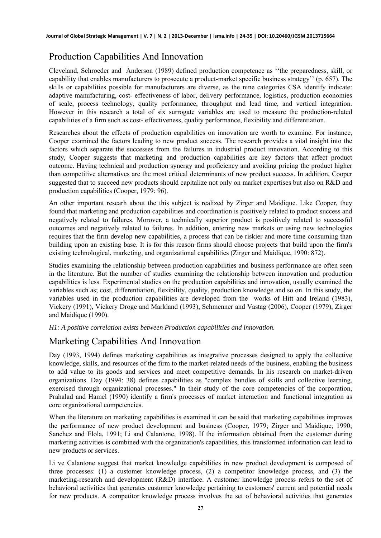# Production Capabilities And Innovation

Cleveland, Schroeder and Anderson (1989) defined production competence as ''the preparedness, skill, or capability that enables manufacturers to prosecute a product-market specific business strategy'' (p. 657). The skills or capabilities possible for manufacturers are diverse, as the nine categories CSA identify indicate: adaptive manufacturing, cost- effectiveness of labor, delivery performance, logistics, production economies of scale, process technology, quality performance, throughput and lead time, and vertical integration. However in this research a total of six surrogate variables are used to measure the production-related capabilities of a firm such as cost- effectiveness, quality performance, flexibility and differentiation.

Researches about the effects of production capabilities on innovation are worth to examine. For instance, Cooper examined the factors leading to new product success. The research provides a vital insight into the factors which separate the successes from the failures in industrial product innovation. According to this study, Cooper suggests that marketing and production capabilities are key factors that affect product outcome. Having technical and production synergy and proficiency and avoiding pricing the product higher than competitive alternatives are the most critical determinants of new product success. In addition, Cooper suggested that to succeed new products should capitalize not only on market expertises but also on R&D and production capabilities (Cooper, 1979: 96).

An other important researh about the this subject is realized by Zirger and Maidique. Like Cooper, they found that marketing and production capabilities and coordination is positively related to product success and negatively related to failures. Morover, a technically superior product is positively related to successful outcomes and negatively related to failures. In addition, entering new markets or using new technologies requires that the firm develop new capabilities, a process that can be riskier and more time consuming than building upon an existing base. It is for this reason firms should choose projects that build upon the firm's existing technological, marketing, and organizational capabilities (Zirger and Maidique, 1990: 872).

Studies examining the relationship between production capabilities and business performance are often seen in the literature. But the number of studies examining the relationship between innovation and production capabilities is less. Experimental studies on the production capabilities and innovation, usually examined the variables such as; cost, differentiation, flexibility, quality, production knowledge and so on. In this study, the variables used in the production capabilities are developed from the works of Hitt and Ireland (1983), Vickery (1991), Vickery Droge and Markland (1993), Schmenner and Vastag (2006), Cooper (1979), Zirger and Maidique (1990).

*H1: A positive correlation exists between Production capabilities and innovation.* 

# Marketing Capabilities And Innovation

Day (1993, 1994) defines marketing capabilities as integrative processes designed to apply the collective knowledge, skills, and resources of the firm to the market-related needs of the business, enabling the business to add value to its goods and services and meet competitive demands. In his research on market-driven organizations. Day (1994: 38) defines capabilities as "complex bundles of skills and collective learning, exercised through organizational processes." In their study of the core competencies of the corporation, Prahalad and Hamel (1990) identify a firm's processes of market interaction and functional integration as core organizational competencies.

When the literature on marketing capabilities is examined it can be said that marketing capabilities improves the performance of new product development and business (Cooper, 1979; Zirger and Maidique, 1990; Sanchez and Elola, 1991; Li and Calantone, 1998). If the information obtained from the customer during marketing activities is combined with the organization's capabilities, this transformed information can lead to new products or services.

Li ve Calantone suggest that market knowledge capabilities in new product development is composed of three processes: (1) a customer knowledge process, (2) a competitor knowledge process, and (3) the marketing-research and development (R&D) interface. A customer knowledge process refers to the set of behavioral activities that generates customer knowledge pertaining to customers' current and potential needs for new products. A competitor knowledge process involves the set of behavioral activities that generates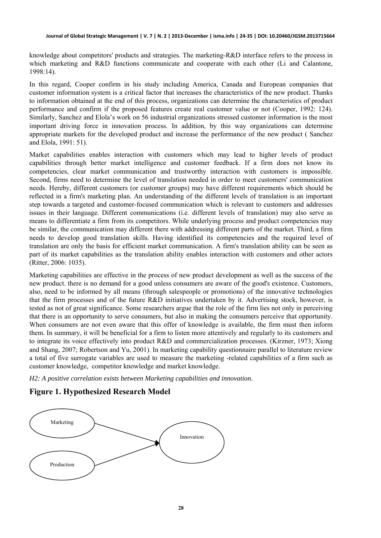knowledge about competitors' products and strategies. The marketing-R&D interface refers to the process in which marketing and R&D functions communicate and cooperate with each other (Li and Calantone, 1998:14).

In this regard, Cooper confirm in his study including America, Canada and European companies that customer information system is a critical factor that increases the characteristics of the new product. Thanks to information obtained at the end of this process, organizations can determine the characteristics of product performance and confirm if the proposed features create real customer value or not (Cooper, 1992: 124). Similarly, Sanchez and Elola's work on 56 industrial organizations stressed customer information is the most important driving force in innovation process. In addition, by this way organizations can determine appropriate markets for the developed product and increase the performance of the new product ( Sanchez and Elola, 1991: 51).

Market capabilities enables interaction with customers which may lead to higher levels of product capabilities through better market intelligence and customer feedback. If a firm does not know its competencies, clear market communication and trustworthy interaction with customers is impossible. Second, firms need to determine the level of translation needed in order to meet customers' communication needs. Hereby, different customers (or customer groups) may have different requirements which should be reflected in a firm's marketing plan. An understanding of the different levels of translation is an important step towards a targeted and customer-focused communication which is relevant to customers and addresses issues in their language. Different communications (i.e. different levels of translation) may also serve as means to differentiate a firm from its competitors. While underlying process and product competencies may be similar, the communication may different there with addressing different parts of the market. Third, a firm needs to develop good translation skills. Having identified its competencies and the required level of translation are only the basis for efficient market communication. A firm's translation ability can be seen as part of its market capabilities as the translation ability enables interaction with customers and other actors (Ritter, 2006: 1035).

Marketing capabilities are effective in the process of new product development as well as the success of the new product. there is no demand for a good unless consumers are aware of the good's existence. Customers, also, need to be informed by all means (through salespeople or promotions) of the innovative technologies that the firm processes and of the future R&D initiatives undertaken by it. Advertising stock, however, is tested as not of great significance. Some researchers argue that the role of the firm lies not only in perceiving that there is an opportunity to serve consumers, but also in making the consumers perceive that opportunity. When consumers are not even aware that this offer of knowledge is available, the firm must then inform them. In summary, it will be beneficial for a firm to listen more attentively and regularly to its customers and to integrate its voice effectively into product R&D and commercialization processes. (Kirzner, 1973; Xiong and Shang, 2007; Robertson and Yu, 2001). In marketing capability questionnaire parallel to literature review a total of five surrogate variables are used to measure the marketing -related capabilities of a firm such as customer knowledge, competitor knowledge and market knowledge.

*H2: A positive correlation exists between Marketing capabilities and innovation.* 

#### **Figure 1. Hypothesized Research Model**

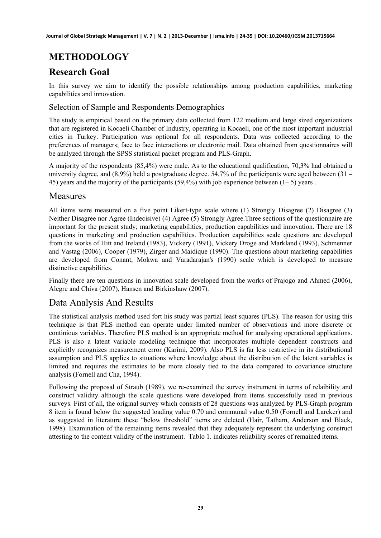# **METHODOLOGY**

### **Research Goal**

In this survey we aim to identify the possible relationships among production capabilities, marketing capabilities and innovation.

#### Selection of Sample and Respondents Demographics

The study is empirical based on the primary data collected from 122 medium and large sized organizations that are registered in Kocaeli Chamber of Industry, operating in Kocaeli, one of the most important industrial cities in Turkey. Participation was optional for all respondents. Data was collected according to the preferences of managers; face to face interactions or electronic mail. Data obtained from questionnaires will be analyzed through the SPSS statistical packet program and PLS-Graph.

A majority of the respondents (85,4%) were male. As to the educational qualification, 70,3% had obtained a university degree, and  $(8,9\%)$  held a postgraduate degree. 54,7% of the participants were aged between  $(31 -$ 45) years and the majority of the participants (59,4%) with job experience between (1– 5) years .

#### Measures

All items were measured on a five point Likert-type scale where (1) Strongly Disagree (2) Disagree (3) Neither Disagree nor Agree (Indecisive) (4) Agree (5) Strongly Agree.Three sections of the questionnaire are important for the present study; marketing capabilities, production capabilities and innovation. There are 18 questions in marketing and production capabilities. Production capabilities scale questions are developed from the works of Hitt and Ireland (1983), Vickery (1991), Vickery Droge and Markland (1993), Schmenner and Vastag (2006), Cooper (1979), Zirger and Maidique (1990). The questions about marketing capabilities are developed from Conant, Mokwa and Varadarajan's (1990) scale which is developed to measure distinctive capabilities.

Finally there are ten questions in innovation scale developed from the works of Prajogo and Ahmed (2006), Alegre and Chiva (2007), Hansen and Birkinshaw (2007).

### Data Analysis And Results

The statistical analysis method used fort his study was partial least squares (PLS). The reason for using this technique is that PLS method can operate under limited number of observations and more discrete or continious variables. Therefore PLS method is an appropriate method for analysing operational applications. PLS is also a latent variable modeling technique that incorporates multiple dependent constructs and explicitly recognizes measurement error (Karimi, 2009). Also PLS is far less restrictive in its distributional assumption and PLS applies to situations where knowledge about the distribution of the latent variables is limited and requires the estimates to be more closely tied to the data compared to covariance structure analysis (Fornell and Cha, 1994).

Following the proposal of Straub (1989), we re-examined the survey instrument in terms of relaibility and construct validity although the scale questions were developed from items successfully used in previous surveys. First of all, the original survey which consists of 28 questions was analyzed by PLS-Graph program 8 item is found below the suggested loading value 0.70 and communal value 0.50 (Fornell and Larcker) and as suggested in literature these "below threshold" items are deleted (Hair, Tatham, Anderson and Black, 1998). Examination of the remaining items revealed that they adequately represent the underlying construct attesting to the content validity of the instrument. Tablo 1. indicates reliability scores of remained items.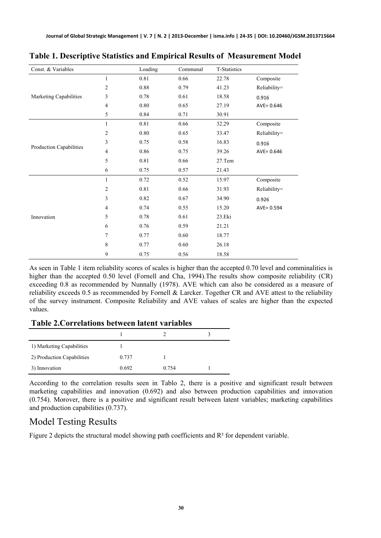| Const. & Variables      |                | Loading  | Communal | T-Statistics |               |
|-------------------------|----------------|----------|----------|--------------|---------------|
| Marketing Capabilities  | 1              | 0.81     | 0.66     | 22.78        | Composite     |
|                         | 2              | 0.88     | 0.79     | 41.23        | Reliability=  |
|                         | 3              | 0.78     | 0.61     | 18.58        | 0.916         |
|                         | $\overline{4}$ | $0.80\,$ | 0.65     | 27.19        | $AVE = 0.646$ |
|                         | 5              | 0.84     | 0.71     | 30.91        |               |
| Production Capabilities | 1              | 0.81     | 0.66     | 32.29        | Composite     |
|                         | 2              | 0.80     | 0.65     | 33.47        | Reliability=  |
|                         | 3              | 0.75     | 0.58     | 16.83        | 0.916         |
|                         | 4              | 0.86     | 0.75     | 39.26        | $AVE = 0.646$ |
|                         | 5              | 0.81     | 0.66     | 27.Tem       |               |
|                         | 6              | 0.75     | 0.57     | 21.43        |               |
| Innovation              | $\mathbf{1}$   | 0.72     | 0.52     | 15.97        | Composite     |
|                         | 2              | 0.81     | 0.66     | 31.93        | Reliability=  |
|                         | 3              | 0.82     | 0.67     | 34.90        | 0.926         |
|                         | $\overline{4}$ | 0.74     | 0.55     | 15.20        | $AVE = 0.594$ |
|                         | 5              | 0.78     | 0.61     | 23.Eki       |               |
|                         | 6              | 0.76     | 0.59     | 21.21        |               |
|                         | 7              | 0.77     | 0.60     | 18.77        |               |
|                         | 8              | 0.77     | 0.60     | 26.18        |               |
|                         | 9              | 0.75     | 0.56     | 18.58        |               |

#### **Table 1. Descriptive Statistics and Empirical Results of Measurement Model**

As seen in Table 1 item reliability scores of scales is higher than the accepted 0.70 level and comminalities is higher than the accepted 0.50 level (Fornell and Cha, 1994). The results show composite reliability (CR) exceeding 0.8 as recommended by Nunnally (1978). AVE which can also be considered as a measure of reliability exceeds 0.5 as recommended by Fornell & Larcker. Together CR and AVE attest to the reliability of the survey instrument. Composite Reliability and AVE values of scales are higher than the expected values.

#### **Table 2.Correlations between latent variables**

| 1) Marketing Capabilities  |       |       |  |
|----------------------------|-------|-------|--|
| 2) Production Capabilities | 0.737 |       |  |
| 3) Innovation              | 0.692 | 0.754 |  |

According to the correlation results seen in Tablo 2, there is a positive and significant result between marketing capabilities and innovation (0.692) and also between production capabilities and innovation (0.754). Morover, there is a positive and significant result between latent variables; marketing capabilities and production capabilities (0.737).

### Model Testing Results

Figure 2 depicts the structural model showing path coefficients and  $R<sup>2</sup>$  for dependent variable.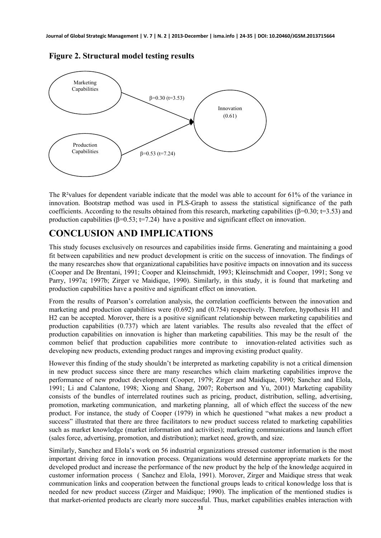

**Figure 2. Structural model testing results** 

The R<sup>2</sup>values for dependent variable indicate that the model was able to account for 61% of the variance in innovation. Bootstrap method was used in PLS-Graph to assess the statistical significance of the path coefficients. According to the results obtained from this research, marketing capabilities ( $\beta$ =0.30; t=3.53) and production capabilities ( $\beta$ =0.53; t=7.24) have a positive and significant effect on innovation.

### **CONCLUSION AND IMPLICATIONS**

This study focuses exclusively on resources and capabilities inside firms. Generating and maintaining a good fit between capabilities and new product development is critic on the success of innovation. The findings of the many researches show that organizational capabilities have positive impacts on innovation and its success (Cooper and De Brentani, 1991; Cooper and Kleinschmidt, 1993; Kleinschmidt and Cooper, 1991; Song ve Parry, 1997a; 1997b; Zirger ve Maidique, 1990). Similarly, in this study, it is found that marketing and production capabilities have a positive and significant effect on innovation.

From the results of Pearson's correlation analysis, the correlation coefficients between the innovation and marketing and production capabilities were (0.692) and (0.754) respectively. Therefore, hypothesis H1 and H2 can be accepted. Morover, there is a positive significant relationship between marketing capabilities and production capabilities (0.737) which are latent variables. The results also revealed that the effect of production capabilities on innovation is higher than marketing capabilities. This may be the result of the common belief that production capabilities more contribute to innovation-related activities such as developing new products, extending product ranges and improving existing product quality.

However this finding of the study shouldn't be interpreted as marketing capability is not a critical dimension in new product success since there are many researches which claim marketing capabilities improve the performance of new product development (Cooper, 1979; Zirger and Maidique, 1990; Sanchez and Elola, 1991; Li and Calantone, 1998; Xiong and Shang, 2007; Robertson and Yu, 2001) Marketing capability consists of the bundles of interrelated routines such as pricing, product, distribution, selling, advertising, promotion, marketing communication, and marketing planning, all of which effect the success of the new product. For instance, the study of Cooper (1979) in which he questioned "what makes a new product a success" illustrated that there are three facilitators to new product success related to marketing capabilities such as market knowledge (market information and activities); marketing communications and launch effort (sales force, advertising, promotion, and distribution); market need, growth, and size.

Similarly, Sanchez and Elola's work on 56 industrial organizations stressed customer information is the most important driving force in innovation process. Organizations would determine appropriate markets for the developed product and increase the performance of the new product by the help of the knowledge acquired in customer information process ( Sanchez and Elola, 1991). Morover, Zirger and Maidique stress that weak communication links and cooperation between the functional groups leads to critical konowledge loss that is needed for new product success (Zirger and Maidique; 1990). The implication of the mentioned studies is that market-oriented products are clearly more successful. Thus, market capabilities enables interaction with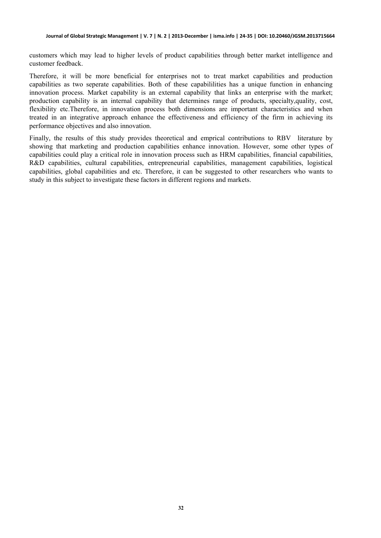customers which may lead to higher levels of product capabilities through better market intelligence and customer feedback.

Therefore, it will be more beneficial for enterprises not to treat market capabilities and production capabilities as two seperate capabilities. Both of these capabililities has a unique function in enhancing innovation process. Market capability is an external capability that links an enterprise with the market; production capability is an internal capability that determines range of products, specialty,quality, cost, flexibility etc.Therefore, in innovation process both dimensions are important characteristics and when treated in an integrative approach enhance the effectiveness and efficiency of the firm in achieving its performance objectives and also innovation.

Finally, the results of this study provides theoretical and emprical contributions to RBV literature by showing that marketing and production capabilities enhance innovation. However, some other types of capabilities could play a critical role in innovation process such as HRM capabilities, financial capabilities, R&D capabilities, cultural capabilities, entrepreneurial capabilities, management capabilities, logistical capabilities, global capabilities and etc. Therefore, it can be suggested to other researchers who wants to study in this subject to investigate these factors in different regions and markets.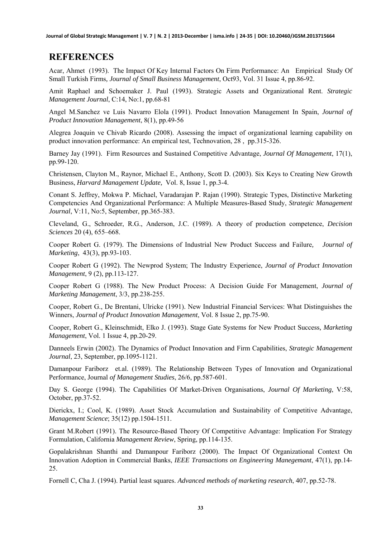**Journal of Global Strategic Management | V. 7 | N. 2 | 2013-December | isma.info | 24-35 | DOI: 10.20460/JGSM.2013715664**

### **REFERENCES**

Acar, Ahmet (1993). The Impact Of Key Internal Factors On Firm Performance: An Empirical Study Of Small Turkish Firms*, Journal of Small Business Management*, Oct93, Vol. 31 Issue 4, pp.86-92.

Amit Raphael and Schoemaker J. Paul (1993). Strategic Assets and Organizational Rent. *Strategic Management Journal*, C:14, No:1, pp.68-81

Angel M.Sanchez ve Luis Navarro Elola (1991). Product Innovation Management In Spain, *Journal of Product Innovation Management*, 8(1), pp.49-56

Alegrea Joaquin ve Chivab Ricardo (2008). Assessing the impact of organizational learning capability on product innovation performance: An empirical test, Technovation, 28 , pp.315-326.

Barney Jay (1991). Firm Resources and Sustained Competitive Advantage, *Journal Of Management*, 17(1), pp.99-120.

Christensen, Clayton M., Raynor, Michael E., Anthony, Scott D. (2003). Six Keys to Creating New Growth Business, *Harvard Management Update,* Vol. 8, Issue 1, pp.3-4.

Conant S. Jeffrey, Mokwa P. Michael, Varadarajan P. Rajan (1990). Strategic Types, Distinctive Marketing Competencies And Organizational Performance: A Multiple Measures-Based Study, *Strategic Management Journal*, V:11, No:5, September, pp.365-383.

Cleveland, G., Schroeder, R.G., Anderson, J.C. (1989). A theory of production competence, *Decision Sciences* 20 (4), 655–668.

Cooper Robert G. (1979). The Dimensions of Industrial New Product Success and Failure*, Journal of Marketing*, 43(3), pp.93-103.

Cooper Robert G (1992). The Newprod System; The Industry Experience, *Journal of Product Innovation Management*, 9 (2), pp.113-127.

Cooper Robert G (1988). The New Product Process: A Decision Guide For Management, *Journal of Marketing Management*, 3/3, pp.238-255.

Cooper, Robert G., De Brentani, Ulricke (1991). New Industrial Financial Services: What Distinguishes the Winners, *Journal of Product Innovation Management*, Vol. 8 Issue 2, pp.75-90.

Cooper, Robert G., Kleinschmidt, Elko J. (1993). Stage Gate Systems for New Product Success*, Marketing Management*, Vol. 1 Issue 4, pp.20-29.

Danneels Erwin (2002). The Dynamics of Product Innovation and Firm Capabilities, *Strategic Management Journal*, 23, September, pp.1095-1121.

Damanpour Fariborz et.al. (1989). The Relationship Between Types of Innovation and Organizational Performance, Journal *of Management Studies*, 26/6, pp.587-601.

Day S. George (1994). The Capabilities Of Market-Driven Organisations, *Journal Of Marketing*, V:58, October, pp.37-52.

Dierickx, I.; Cool, K. (1989). Asset Stock Accumulation and Sustainability of Competitive Advantage, *Management Science*; 35(12) pp.1504-1511.

Grant M.Robert (1991). The Resource-Based Theory Of Competitive Advantage: Implication For Strategy Formulation, California *Management Review*, Spring, pp.114-135.

Gopalakrishnan Shanthi and Damanpour Fariborz (2000). The Impact Of Organizational Context On Innovation Adoption in Commercial Banks, *IEEE Transactions on Engineering Manegemant*, 47(1), pp.14- 25.

Fornell C, Cha J. (1994). Partial least squares. *Advanced methods of marketing research*, 407, pp.52-78.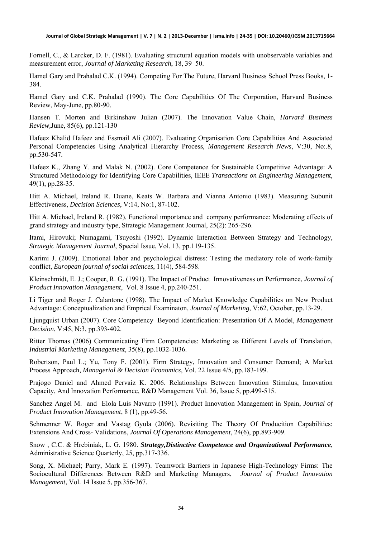Fornell, C., & Larcker, D. F. (1981). Evaluating structural equation models with unobservable variables and measurement error, *Journal of Marketing Research*, 18, 39–50.

Hamel Gary and Prahalad C.K. (1994). Competing For The Future, Harvard Business School Press Books, 1- 384.

Hamel Gary and C.K. Prahalad (1990). The Core Capabilities Of The Corporation, Harvard Business Review, May-June, pp.80-90.

Hansen T. Morten and Birkinshaw Julian (2007). The Innovation Value Chain, *Harvard Business Review,*June, 85(6), pp.121-130

Hafeez Khalid Hafeez and Essmail Ali (2007). Evaluating Organisation Core Capabilities And Associated Personal Competencies Using Analytical Hierarchy Process, *Management Research News*, V:30, No:.8, pp.530-547.

Hafeez K., Zhang Y. and Malak N. (2002). Core Competence for Sustainable Competitive Advantage: A Structured Methodology for Identifying Core Capabilities, IEEE *Transactions on Engineering Management*, 49(1), pp.28-35.

Hitt A. Michael, Ireland R. Duane, Keats W. Barbara and Vianna Antonio (1983). Measuring Subunit Effectiveness, *Decision Sciences*, V:14, No:1, 87-102.

Hitt A. Michael, Ireland R. (1982). Functional ımportance and company performance: Moderating effects of grand strategy and ındustry type, Strategic Management Journal, 25(2): 265-296.

Itami, Hirovuki; Numagami, Tsuyoshi (1992). Dynamic Interaction Between Strategy and Technology, *Strategic Management Journal*, Special Issue, Vol. 13, pp.119-135.

Karimi J. (2009). Emotional labor and psychological distress: Testing the mediatory role of work-family conflict, *European journal of social sciences*, 11(4), 584-598.

Kleinschmidt, E. J.; Cooper, R. G. (1991). The Impact of Product Innovativeness on Performance, *Journal of Product Innovation Management*, Vol. 8 Issue 4, pp.240-251.

Li Tiger and Roger J. Calantone (1998). The Impact of Market Knowledge Capabilities on New Product Advantage: Conceptualization and Emprical Examinaton, *Journal of Marketing*, V:62, October, pp.13-29.

Ljungquist Urban (2007). Core Competency Beyond Identification: Presentation Of A Model, *Management Decision*, V:45, N:3, pp.393-402.

Ritter Thomas (2006) Communicating Firm Competencies: Marketing as Different Levels of Translation, *Industrial Marketing Management*, 35(8), pp.1032-1036.

Robertson, Paul L.; Yu, Tony F. (2001). Firm Strategy, Innovation and Consumer Demand; A Market Process Approach*, Managerial & Decision Economics*, Vol. 22 Issue 4/5, pp.183-199.

Prajogo Daniel and Ahmed Pervaiz K. 2006. Relationships Between Innovation Stimulus, Innovation Capacity, And Innovation Performance, R&D Management Vol. 36, Issue 5, pp.499-515.

Sanchez Angel M. and Elola Luis Navarro (1991). Product Innovation Management in Spain, *Journal of Product Innovation Management*, 8 (1), pp.49-56.

Schmenner W. Roger and Vastag Gyula (2006). Revisiting The Theory Of Producition Capabilities: Extensions And Cross- Validations, *Journal Of Operations Management*, 24(6), pp.893-909.

Snow , C.C. & Hrebiniak, L. G. 1980. *Strategy,Distinctive Competence and Organizational Performance*, Administrative Science Quarterly, 25, pp.317-336.

Song, X. Michael; Parry, Mark E. (1997). Teamwork Barriers in Japanese High-Technology Firms: The Sociocultural Differences Between R&D and Marketing Managers, *Journal of Product Innovation Management*, Vol. 14 Issue 5, pp.356-367.